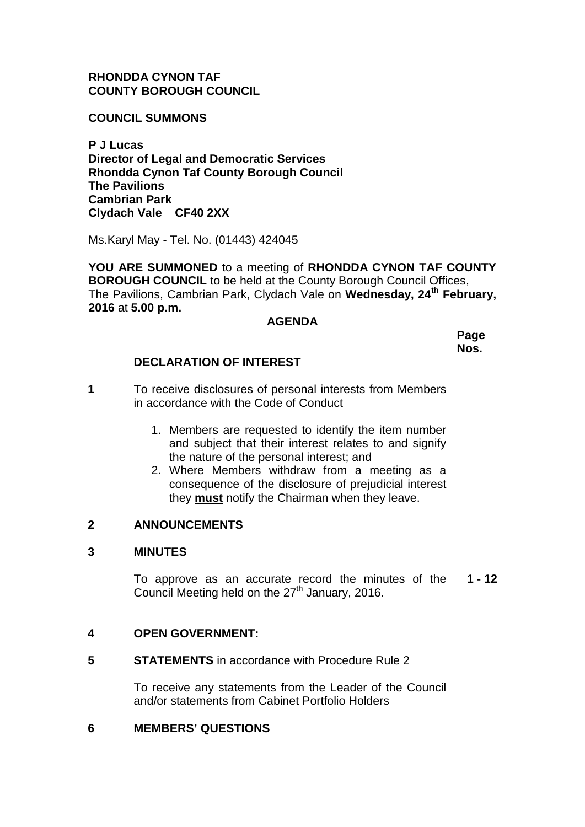# **RHONDDA CYNON TAF COUNTY BOROUGH COUNCIL**

**COUNCIL SUMMONS**

**P J Lucas Director of Legal and Democratic Services Rhondda Cynon Taf County Borough Council The Pavilions Cambrian Park Clydach Vale CF40 2XX**

Ms.Karyl May - Tel. No. (01443) 424045

**YOU ARE SUMMONED** to a meeting of **RHONDDA CYNON TAF COUNTY BOROUGH COUNCIL** to be held at the County Borough Council Offices, The Pavilions, Cambrian Park, Clydach Vale on **Wednesday, 24th February, 2016** at **5.00 p.m.**

#### **AGENDA**

**Page Nos.**

# **DECLARATION OF INTEREST**

- **1** To receive disclosures of personal interests from Members in accordance with the Code of Conduct
	- 1. Members are requested to identify the item number and subject that their interest relates to and signify the nature of the personal interest; and
	- 2. Where Members withdraw from a meeting as a consequence of the disclosure of prejudicial interest they **must** notify the Chairman when they leave.

# **2 ANNOUNCEMENTS**

#### **3 MINUTES**

To approve as an accurate record the minutes of the Council Meeting held on the 27<sup>th</sup> January, 2016. **1 - 12**

# **4 OPEN GOVERNMENT:**

**5 STATEMENTS** in accordance with Procedure Rule 2

To receive any statements from the Leader of the Council and/or statements from Cabinet Portfolio Holders

# **6 MEMBERS' QUESTIONS**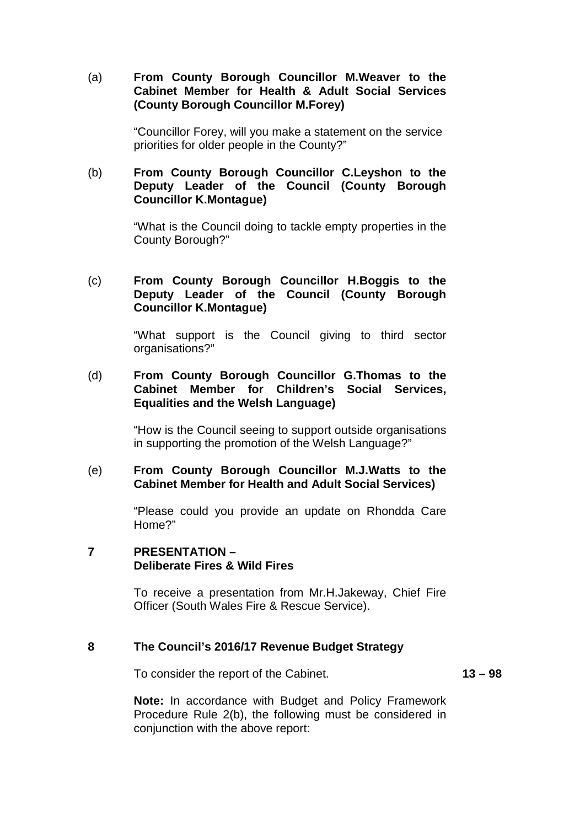## (a) **From County Borough Councillor M.Weaver to the Cabinet Member for Health & Adult Social Services (County Borough Councillor M.Forey)**

"Councillor Forey, will you make a statement on the service priorities for older people in the County?"

# (b) **From County Borough Councillor C.Leyshon to the Deputy Leader of the Council (County Borough Councillor K.Montague)**

"What is the Council doing to tackle empty properties in the County Borough?"

# (c) **From County Borough Councillor H.Boggis to the Deputy Leader of the Council (County Borough Councillor K.Montague)**

"What support is the Council giving to third sector organisations?"

# (d) **From County Borough Councillor G.Thomas to the Cabinet Member for Children's Social Services, Equalities and the Welsh Language)**

"How is the Council seeing to support outside organisations in supporting the promotion of the Welsh Language?"

#### (e) **From County Borough Councillor M.J.Watts to the Cabinet Member for Health and Adult Social Services)**

"Please could you provide an update on Rhondda Care Home?"

# **7 PRESENTATION – Deliberate Fires & Wild Fires**

To receive a presentation from Mr.H.Jakeway, Chief Fire Officer (South Wales Fire & Rescue Service).

# **8 The Council's 2016/17 Revenue Budget Strategy**

To consider the report of the Cabinet. **13 – 98**

**Note:** In accordance with Budget and Policy Framework Procedure Rule 2(b), the following must be considered in conjunction with the above report: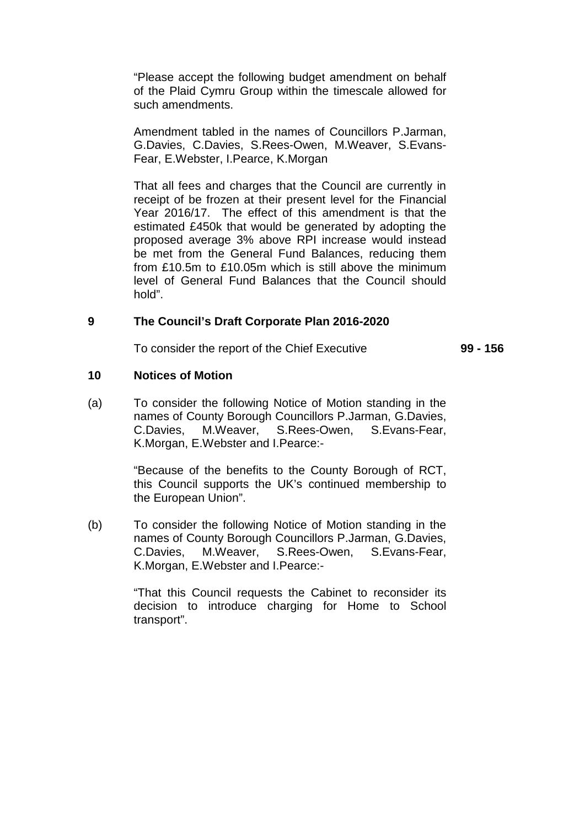"Please accept the following budget amendment on behalf of the Plaid Cymru Group within the timescale allowed for such amendments.

Amendment tabled in the names of Councillors P.Jarman, G.Davies, C.Davies, S.Rees-Owen, M.Weaver, S.Evans-Fear, E.Webster, I.Pearce, K.Morgan

That all fees and charges that the Council are currently in receipt of be frozen at their present level for the Financial Year 2016/17. The effect of this amendment is that the estimated £450k that would be generated by adopting the proposed average 3% above RPI increase would instead be met from the General Fund Balances, reducing them from £10.5m to £10.05m which is still above the minimum level of General Fund Balances that the Council should hold".

#### **9 The Council's Draft Corporate Plan 2016-2020**

To consider the report of the Chief Executive **99 - 156**

#### **10 Notices of Motion**

(a) To consider the following Notice of Motion standing in the names of County Borough Councillors P.Jarman, G.Davies, C.Davies, M.Weaver, S.Rees-Owen, S.Evans-Fear, K.Morgan, E.Webster and I.Pearce:-

> "Because of the benefits to the County Borough of RCT, this Council supports the UK's continued membership to the European Union".

(b) To consider the following Notice of Motion standing in the names of County Borough Councillors P.Jarman, G.Davies, C.Davies, M.Weaver, S.Rees-Owen, S.Evans-Fear, K.Morgan, E.Webster and I.Pearce:-

> "That this Council requests the Cabinet to reconsider its decision to introduce charging for Home to School transport".